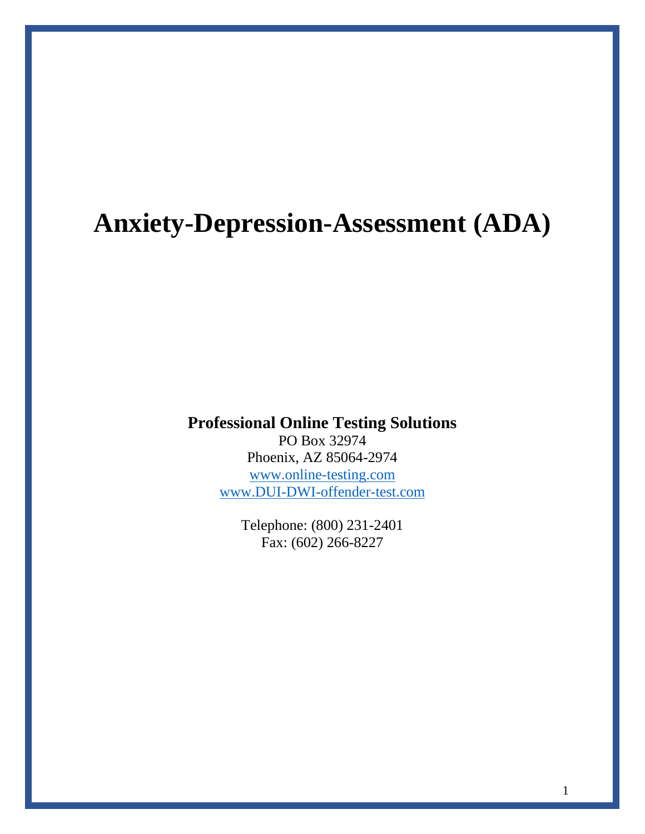# **Anxiety-Depression-Assessment (ADA)**

## **Professional Online Testing Solutions**

PO Box 32974 Phoenix, AZ 85064-2974 [www.online-testing.com](http://www.online-testing.com/) [www.DUI-DWI-offender-test.com](http://www.dui-dwi-offender-test.com/)

> Telephone: (800) 231-2401 Fax: (602) 266-8227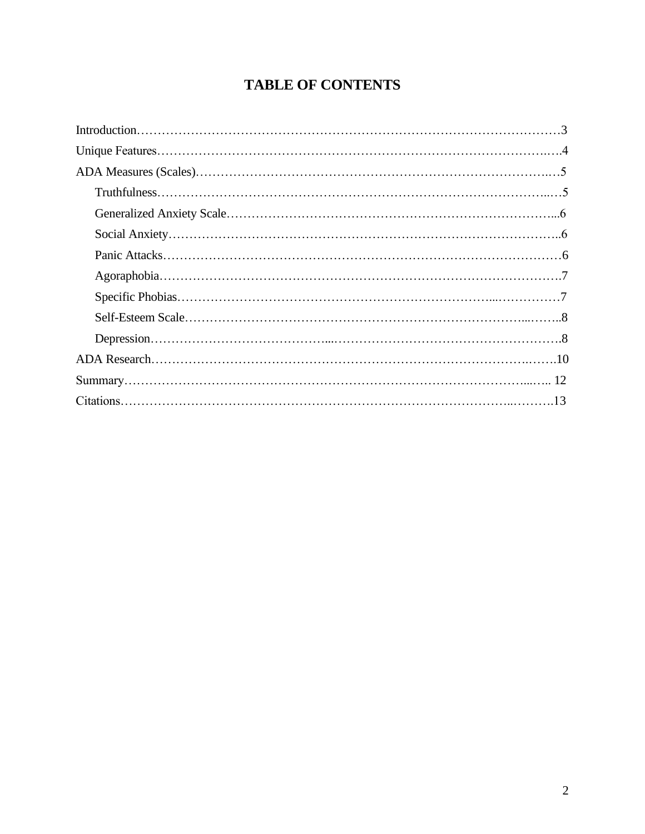## **TABLE OF CONTENTS**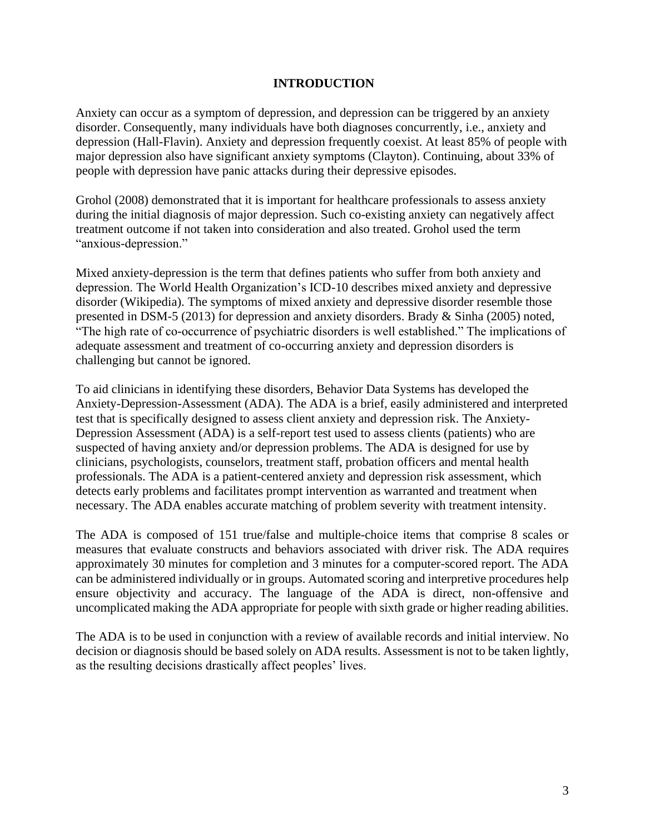#### **INTRODUCTION**

Anxiety can occur as a symptom of depression, and depression can be triggered by an anxiety disorder. Consequently, many individuals have both diagnoses concurrently, i.e., anxiety and depression (Hall-Flavin). Anxiety and depression frequently coexist. At least 85% of people with major depression also have significant anxiety symptoms (Clayton). Continuing, about 33% of people with depression have panic attacks during their depressive episodes.

Grohol (2008) demonstrated that it is important for healthcare professionals to assess anxiety during the initial diagnosis of major depression. Such co-existing anxiety can negatively affect treatment outcome if not taken into consideration and also treated. Grohol used the term "anxious-depression."

Mixed anxiety-depression is the term that defines patients who suffer from both anxiety and depression. The World Health Organization's ICD-10 describes mixed anxiety and depressive disorder (Wikipedia). The symptoms of mixed anxiety and depressive disorder resemble those presented in DSM-5 (2013) for depression and anxiety disorders. Brady & Sinha (2005) noted, "The high rate of co-occurrence of psychiatric disorders is well established." The implications of adequate assessment and treatment of co-occurring anxiety and depression disorders is challenging but cannot be ignored.

To aid clinicians in identifying these disorders, Behavior Data Systems has developed the Anxiety-Depression-Assessment (ADA). The ADA is a brief, easily administered and interpreted test that is specifically designed to assess client anxiety and depression risk. The Anxiety-Depression Assessment (ADA) is a self-report test used to assess clients (patients) who are suspected of having anxiety and/or depression problems. The ADA is designed for use by clinicians, psychologists, counselors, treatment staff, probation officers and mental health professionals. The ADA is a patient-centered anxiety and depression risk assessment, which detects early problems and facilitates prompt intervention as warranted and treatment when necessary. The ADA enables accurate matching of problem severity with treatment intensity.

The ADA is composed of 151 true/false and multiple-choice items that comprise 8 scales or measures that evaluate constructs and behaviors associated with driver risk. The ADA requires approximately 30 minutes for completion and 3 minutes for a computer-scored report. The ADA can be administered individually or in groups. Automated scoring and interpretive procedures help ensure objectivity and accuracy. The language of the ADA is direct, non-offensive and uncomplicated making the ADA appropriate for people with sixth grade or higher reading abilities.

The ADA is to be used in conjunction with a review of available records and initial interview. No decision or diagnosis should be based solely on ADA results. Assessment is not to be taken lightly, as the resulting decisions drastically affect peoples' lives.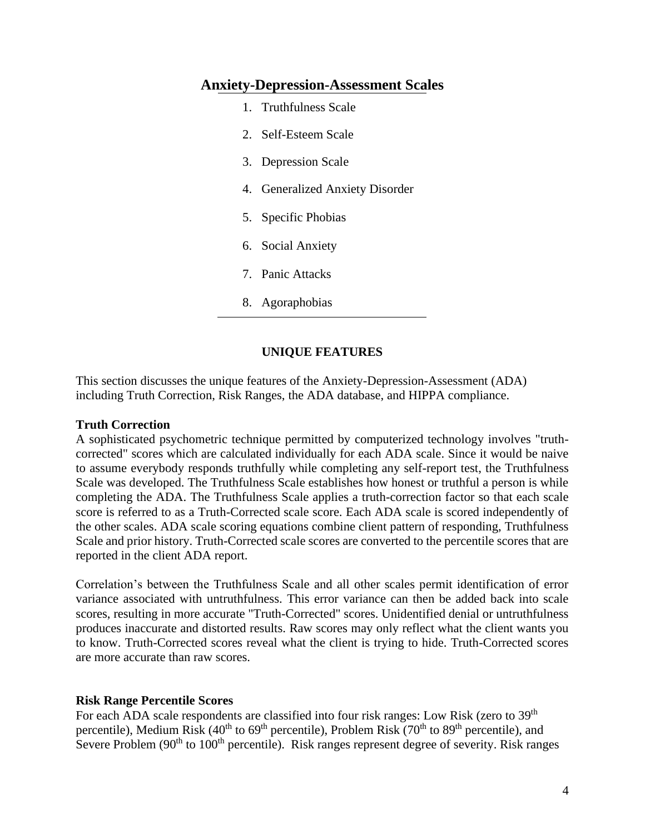#### **Anxiety-Depression-Assessment Scales**

- 1. Truthfulness Scale
- 2. Self-Esteem Scale
- 3. Depression Scale
- 4. Generalized Anxiety Disorder
- 5. Specific Phobias
- 6. Social Anxiety
- 7. Panic Attacks
- 8. Agoraphobias

#### **UNIQUE FEATURES**

This section discusses the unique features of the Anxiety-Depression-Assessment (ADA) including Truth Correction, Risk Ranges, the ADA database, and HIPPA compliance.

#### **Truth Correction**

A sophisticated psychometric technique permitted by computerized technology involves "truthcorrected" scores which are calculated individually for each ADA scale. Since it would be naive to assume everybody responds truthfully while completing any self-report test, the Truthfulness Scale was developed. The Truthfulness Scale establishes how honest or truthful a person is while completing the ADA. The Truthfulness Scale applies a truth-correction factor so that each scale score is referred to as a Truth-Corrected scale score. Each ADA scale is scored independently of the other scales. ADA scale scoring equations combine client pattern of responding, Truthfulness Scale and prior history. Truth-Corrected scale scores are converted to the percentile scores that are reported in the client ADA report.

Correlation's between the Truthfulness Scale and all other scales permit identification of error variance associated with untruthfulness. This error variance can then be added back into scale scores, resulting in more accurate "Truth-Corrected" scores. Unidentified denial or untruthfulness produces inaccurate and distorted results. Raw scores may only reflect what the client wants you to know. Truth-Corrected scores reveal what the client is trying to hide. Truth-Corrected scores are more accurate than raw scores.

#### **Risk Range Percentile Scores**

For each ADA scale respondents are classified into four risk ranges: Low Risk (zero to 39<sup>th</sup>) percentile), Medium Risk  $(40<sup>th</sup>$  to 69<sup>th</sup> percentile), Problem Risk  $(70<sup>th</sup>$  to 89<sup>th</sup> percentile), and Severe Problem  $(90<sup>th</sup>$  to  $100<sup>th</sup>$  percentile). Risk ranges represent degree of severity. Risk ranges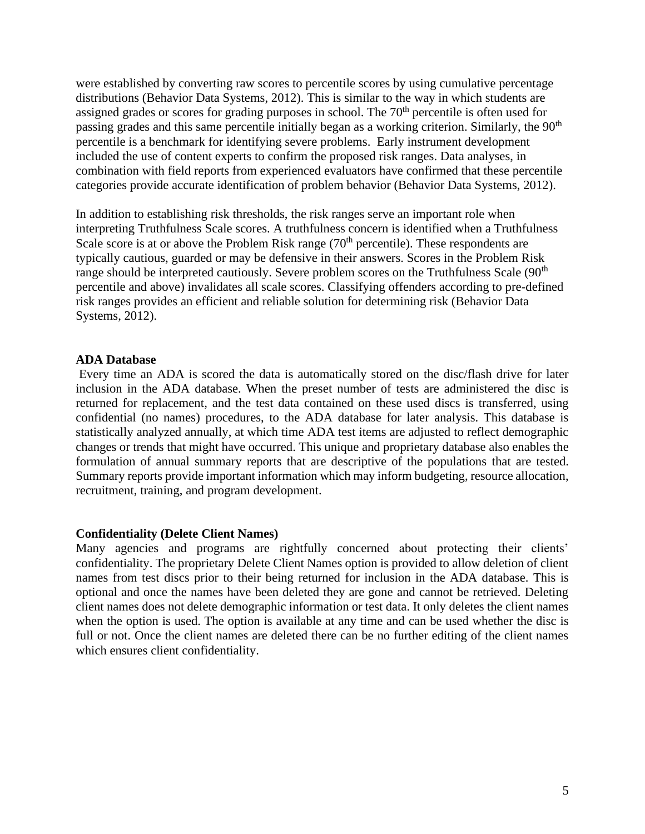were established by converting raw scores to percentile scores by using cumulative percentage distributions (Behavior Data Systems, 2012). This is similar to the way in which students are assigned grades or scores for grading purposes in school. The  $70<sup>th</sup>$  percentile is often used for passing grades and this same percentile initially began as a working criterion. Similarly, the 90<sup>th</sup> percentile is a benchmark for identifying severe problems. Early instrument development included the use of content experts to confirm the proposed risk ranges. Data analyses, in combination with field reports from experienced evaluators have confirmed that these percentile categories provide accurate identification of problem behavior (Behavior Data Systems, 2012).

In addition to establishing risk thresholds, the risk ranges serve an important role when interpreting Truthfulness Scale scores. A truthfulness concern is identified when a Truthfulness Scale score is at or above the Problem Risk range  $(70<sup>th</sup>$  percentile). These respondents are typically cautious, guarded or may be defensive in their answers. Scores in the Problem Risk range should be interpreted cautiously. Severe problem scores on the Truthfulness Scale (90<sup>th</sup>) percentile and above) invalidates all scale scores. Classifying offenders according to pre-defined risk ranges provides an efficient and reliable solution for determining risk (Behavior Data Systems, 2012).

#### **ADA Database**

Every time an ADA is scored the data is automatically stored on the disc/flash drive for later inclusion in the ADA database. When the preset number of tests are administered the disc is returned for replacement, and the test data contained on these used discs is transferred, using confidential (no names) procedures, to the ADA database for later analysis. This database is statistically analyzed annually, at which time ADA test items are adjusted to reflect demographic changes or trends that might have occurred. This unique and proprietary database also enables the formulation of annual summary reports that are descriptive of the populations that are tested. Summary reports provide important information which may inform budgeting, resource allocation, recruitment, training, and program development.

#### **Confidentiality (Delete Client Names)**

Many agencies and programs are rightfully concerned about protecting their clients' confidentiality. The proprietary Delete Client Names option is provided to allow deletion of client names from test discs prior to their being returned for inclusion in the ADA database. This is optional and once the names have been deleted they are gone and cannot be retrieved. Deleting client names does not delete demographic information or test data. It only deletes the client names when the option is used. The option is available at any time and can be used whether the disc is full or not. Once the client names are deleted there can be no further editing of the client names which ensures client confidentiality.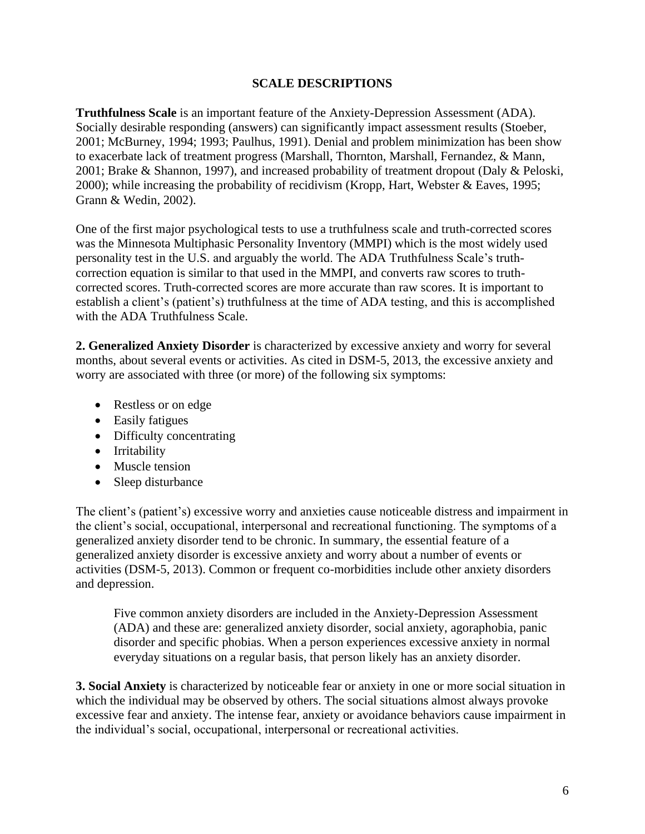#### **SCALE DESCRIPTIONS**

**Truthfulness Scale** is an important feature of the Anxiety-Depression Assessment (ADA). Socially desirable responding (answers) can significantly impact assessment results (Stoeber, 2001; McBurney, 1994; 1993; Paulhus, 1991). Denial and problem minimization has been show to exacerbate lack of treatment progress (Marshall, Thornton, Marshall, Fernandez, & Mann, 2001; Brake & Shannon, 1997), and increased probability of treatment dropout (Daly & Peloski, 2000); while increasing the probability of recidivism (Kropp, Hart, Webster & Eaves, 1995; Grann & Wedin, 2002).

One of the first major psychological tests to use a truthfulness scale and truth-corrected scores was the Minnesota Multiphasic Personality Inventory (MMPI) which is the most widely used personality test in the U.S. and arguably the world. The ADA Truthfulness Scale's truthcorrection equation is similar to that used in the MMPI, and converts raw scores to truthcorrected scores. Truth-corrected scores are more accurate than raw scores. It is important to establish a client's (patient's) truthfulness at the time of ADA testing, and this is accomplished with the ADA Truthfulness Scale.

**2. Generalized Anxiety Disorder** is characterized by excessive anxiety and worry for several months, about several events or activities. As cited in DSM-5, 2013, the excessive anxiety and worry are associated with three (or more) of the following six symptoms:

- Restless or on edge
- Easily fatigues
- Difficulty concentrating
- Irritability
- Muscle tension
- Sleep disturbance

The client's (patient's) excessive worry and anxieties cause noticeable distress and impairment in the client's social, occupational, interpersonal and recreational functioning. The symptoms of a generalized anxiety disorder tend to be chronic. In summary, the essential feature of a generalized anxiety disorder is excessive anxiety and worry about a number of events or activities (DSM-5, 2013). Common or frequent co-morbidities include other anxiety disorders and depression.

Five common anxiety disorders are included in the Anxiety-Depression Assessment (ADA) and these are: generalized anxiety disorder, social anxiety, agoraphobia, panic disorder and specific phobias. When a person experiences excessive anxiety in normal everyday situations on a regular basis, that person likely has an anxiety disorder.

**3. Social Anxiety** is characterized by noticeable fear or anxiety in one or more social situation in which the individual may be observed by others. The social situations almost always provoke excessive fear and anxiety. The intense fear, anxiety or avoidance behaviors cause impairment in the individual's social, occupational, interpersonal or recreational activities.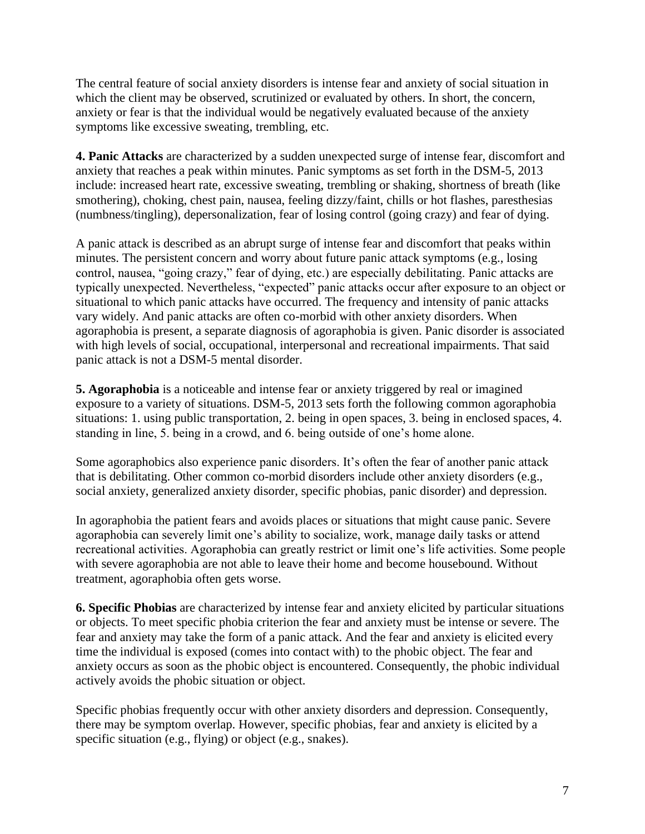The central feature of social anxiety disorders is intense fear and anxiety of social situation in which the client may be observed, scrutinized or evaluated by others. In short, the concern, anxiety or fear is that the individual would be negatively evaluated because of the anxiety symptoms like excessive sweating, trembling, etc.

**4. Panic Attacks** are characterized by a sudden unexpected surge of intense fear, discomfort and anxiety that reaches a peak within minutes. Panic symptoms as set forth in the DSM-5, 2013 include: increased heart rate, excessive sweating, trembling or shaking, shortness of breath (like smothering), choking, chest pain, nausea, feeling dizzy/faint, chills or hot flashes, paresthesias (numbness/tingling), depersonalization, fear of losing control (going crazy) and fear of dying.

A panic attack is described as an abrupt surge of intense fear and discomfort that peaks within minutes. The persistent concern and worry about future panic attack symptoms (e.g., losing control, nausea, "going crazy," fear of dying, etc.) are especially debilitating. Panic attacks are typically unexpected. Nevertheless, "expected" panic attacks occur after exposure to an object or situational to which panic attacks have occurred. The frequency and intensity of panic attacks vary widely. And panic attacks are often co-morbid with other anxiety disorders. When agoraphobia is present, a separate diagnosis of agoraphobia is given. Panic disorder is associated with high levels of social, occupational, interpersonal and recreational impairments. That said panic attack is not a DSM-5 mental disorder.

**5. Agoraphobia** is a noticeable and intense fear or anxiety triggered by real or imagined exposure to a variety of situations. DSM-5, 2013 sets forth the following common agoraphobia situations: 1. using public transportation, 2. being in open spaces, 3. being in enclosed spaces, 4. standing in line, 5. being in a crowd, and 6. being outside of one's home alone.

Some agoraphobics also experience panic disorders. It's often the fear of another panic attack that is debilitating. Other common co-morbid disorders include other anxiety disorders (e.g., social anxiety, generalized anxiety disorder, specific phobias, panic disorder) and depression.

In agoraphobia the patient fears and avoids places or situations that might cause panic. Severe agoraphobia can severely limit one's ability to socialize, work, manage daily tasks or attend recreational activities. Agoraphobia can greatly restrict or limit one's life activities. Some people with severe agoraphobia are not able to leave their home and become housebound. Without treatment, agoraphobia often gets worse.

**6. Specific Phobias** are characterized by intense fear and anxiety elicited by particular situations or objects. To meet specific phobia criterion the fear and anxiety must be intense or severe. The fear and anxiety may take the form of a panic attack. And the fear and anxiety is elicited every time the individual is exposed (comes into contact with) to the phobic object. The fear and anxiety occurs as soon as the phobic object is encountered. Consequently, the phobic individual actively avoids the phobic situation or object.

Specific phobias frequently occur with other anxiety disorders and depression. Consequently, there may be symptom overlap. However, specific phobias, fear and anxiety is elicited by a specific situation (e.g., flying) or object (e.g., snakes).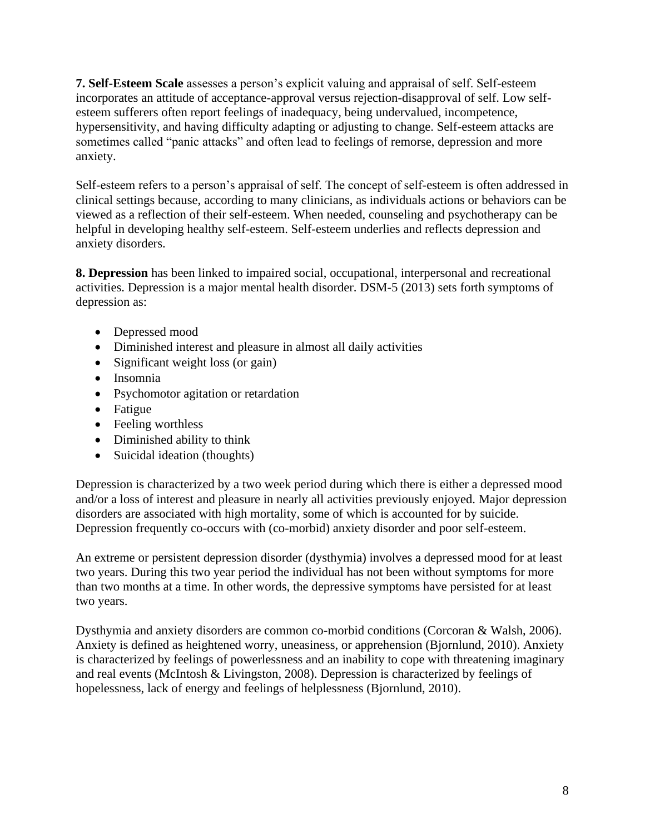**7. Self-Esteem Scale** assesses a person's explicit valuing and appraisal of self. Self-esteem incorporates an attitude of acceptance-approval versus rejection-disapproval of self. Low selfesteem sufferers often report feelings of inadequacy, being undervalued, incompetence, hypersensitivity, and having difficulty adapting or adjusting to change. Self-esteem attacks are sometimes called "panic attacks" and often lead to feelings of remorse, depression and more anxiety.

Self-esteem refers to a person's appraisal of self. The concept of self-esteem is often addressed in clinical settings because, according to many clinicians, as individuals actions or behaviors can be viewed as a reflection of their self-esteem. When needed, counseling and psychotherapy can be helpful in developing healthy self-esteem. Self-esteem underlies and reflects depression and anxiety disorders.

**8. Depression** has been linked to impaired social, occupational, interpersonal and recreational activities. Depression is a major mental health disorder. DSM-5 (2013) sets forth symptoms of depression as:

- Depressed mood
- Diminished interest and pleasure in almost all daily activities
- Significant weight loss (or gain)
- Insomnia
- Psychomotor agitation or retardation
- Fatigue
- Feeling worthless
- Diminished ability to think
- Suicidal ideation (thoughts)

Depression is characterized by a two week period during which there is either a depressed mood and/or a loss of interest and pleasure in nearly all activities previously enjoyed. Major depression disorders are associated with high mortality, some of which is accounted for by suicide. Depression frequently co-occurs with (co-morbid) anxiety disorder and poor self-esteem.

An extreme or persistent depression disorder (dysthymia) involves a depressed mood for at least two years. During this two year period the individual has not been without symptoms for more than two months at a time. In other words, the depressive symptoms have persisted for at least two years.

Dysthymia and anxiety disorders are common co-morbid conditions (Corcoran & Walsh, 2006). Anxiety is defined as heightened worry, uneasiness, or apprehension (Bjornlund, 2010). Anxiety is characterized by feelings of powerlessness and an inability to cope with threatening imaginary and real events (McIntosh & Livingston, 2008). Depression is characterized by feelings of hopelessness, lack of energy and feelings of helplessness (Bjornlund, 2010).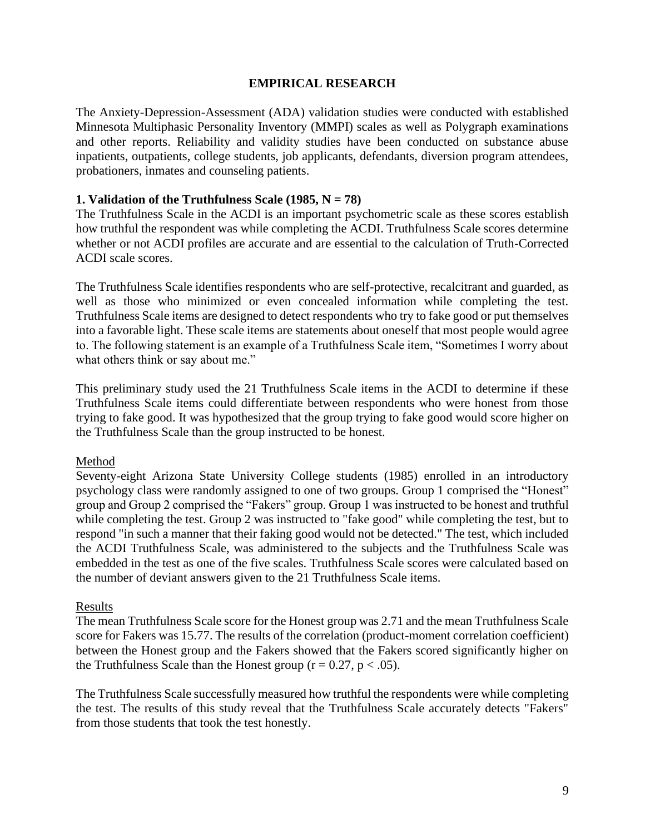#### **EMPIRICAL RESEARCH**

The Anxiety-Depression-Assessment (ADA) validation studies were conducted with established Minnesota Multiphasic Personality Inventory (MMPI) scales as well as Polygraph examinations and other reports. Reliability and validity studies have been conducted on substance abuse inpatients, outpatients, college students, job applicants, defendants, diversion program attendees, probationers, inmates and counseling patients.

#### **1. Validation of the Truthfulness Scale (1985,**  $N = 78$ **)**

The Truthfulness Scale in the ACDI is an important psychometric scale as these scores establish how truthful the respondent was while completing the ACDI. Truthfulness Scale scores determine whether or not ACDI profiles are accurate and are essential to the calculation of Truth-Corrected ACDI scale scores.

The Truthfulness Scale identifies respondents who are self-protective, recalcitrant and guarded, as well as those who minimized or even concealed information while completing the test. Truthfulness Scale items are designed to detect respondents who try to fake good or put themselves into a favorable light. These scale items are statements about oneself that most people would agree to. The following statement is an example of a Truthfulness Scale item, "Sometimes I worry about what others think or say about me."

This preliminary study used the 21 Truthfulness Scale items in the ACDI to determine if these Truthfulness Scale items could differentiate between respondents who were honest from those trying to fake good. It was hypothesized that the group trying to fake good would score higher on the Truthfulness Scale than the group instructed to be honest.

#### Method

Seventy-eight Arizona State University College students (1985) enrolled in an introductory psychology class were randomly assigned to one of two groups. Group 1 comprised the "Honest" group and Group 2 comprised the "Fakers" group. Group 1 was instructed to be honest and truthful while completing the test. Group 2 was instructed to "fake good" while completing the test, but to respond "in such a manner that their faking good would not be detected." The test, which included the ACDI Truthfulness Scale, was administered to the subjects and the Truthfulness Scale was embedded in the test as one of the five scales. Truthfulness Scale scores were calculated based on the number of deviant answers given to the 21 Truthfulness Scale items.

#### Results

The mean Truthfulness Scale score for the Honest group was 2.71 and the mean Truthfulness Scale score for Fakers was 15.77. The results of the correlation (product-moment correlation coefficient) between the Honest group and the Fakers showed that the Fakers scored significantly higher on the Truthfulness Scale than the Honest group ( $r = 0.27$ ,  $p < .05$ ).

The Truthfulness Scale successfully measured how truthful the respondents were while completing the test. The results of this study reveal that the Truthfulness Scale accurately detects "Fakers" from those students that took the test honestly.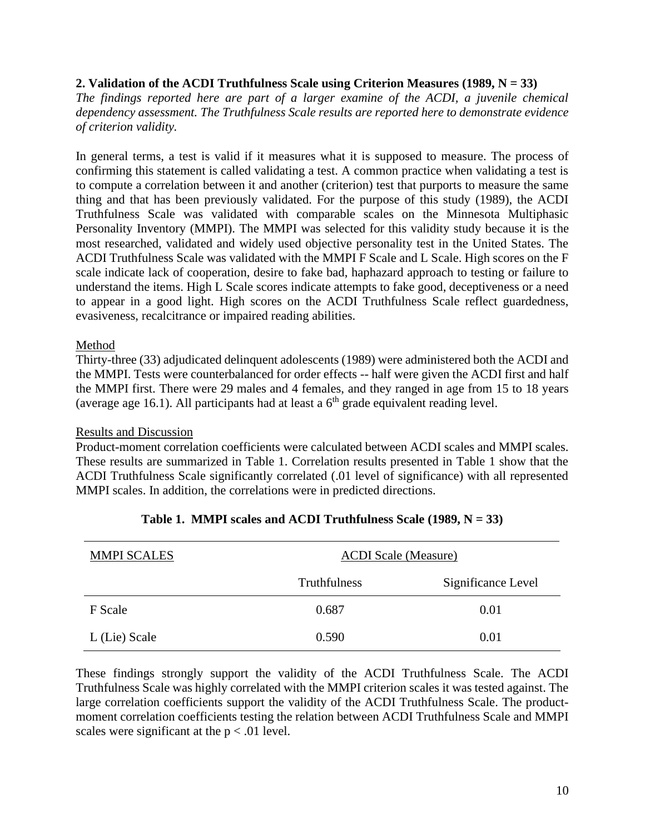#### **2. Validation of the ACDI Truthfulness Scale using Criterion Measures (1989, N = 33)**

*The findings reported here are part of a larger examine of the ACDI, a juvenile chemical dependency assessment. The Truthfulness Scale results are reported here to demonstrate evidence of criterion validity.*

In general terms, a test is valid if it measures what it is supposed to measure. The process of confirming this statement is called validating a test. A common practice when validating a test is to compute a correlation between it and another (criterion) test that purports to measure the same thing and that has been previously validated. For the purpose of this study (1989), the ACDI Truthfulness Scale was validated with comparable scales on the Minnesota Multiphasic Personality Inventory (MMPI). The MMPI was selected for this validity study because it is the most researched, validated and widely used objective personality test in the United States. The ACDI Truthfulness Scale was validated with the MMPI F Scale and L Scale. High scores on the F scale indicate lack of cooperation, desire to fake bad, haphazard approach to testing or failure to understand the items. High L Scale scores indicate attempts to fake good, deceptiveness or a need to appear in a good light. High scores on the ACDI Truthfulness Scale reflect guardedness, evasiveness, recalcitrance or impaired reading abilities.

#### Method

Thirty-three (33) adjudicated delinquent adolescents (1989) were administered both the ACDI and the MMPI. Tests were counterbalanced for order effects -- half were given the ACDI first and half the MMPI first. There were 29 males and 4 females, and they ranged in age from 15 to 18 years (average age 16.1). All participants had at least a  $6<sup>th</sup>$  grade equivalent reading level.

#### Results and Discussion

Product-moment correlation coefficients were calculated between ACDI scales and MMPI scales. These results are summarized in Table 1. Correlation results presented in Table 1 show that the ACDI Truthfulness Scale significantly correlated (.01 level of significance) with all represented MMPI scales. In addition, the correlations were in predicted directions.

| <b>MMPI SCALES</b> | <b>ACDI</b> Scale (Measure) |                    |
|--------------------|-----------------------------|--------------------|
|                    | <b>Truthfulness</b>         | Significance Level |
| F Scale            | 0.687                       | 0.01               |
| L (Lie) Scale      | 0.590                       | 0.01               |

#### **Table 1. MMPI scales and ACDI Truthfulness Scale (1989, N = 33)**

These findings strongly support the validity of the ACDI Truthfulness Scale. The ACDI Truthfulness Scale was highly correlated with the MMPI criterion scales it was tested against. The large correlation coefficients support the validity of the ACDI Truthfulness Scale. The productmoment correlation coefficients testing the relation between ACDI Truthfulness Scale and MMPI scales were significant at the  $p < .01$  level.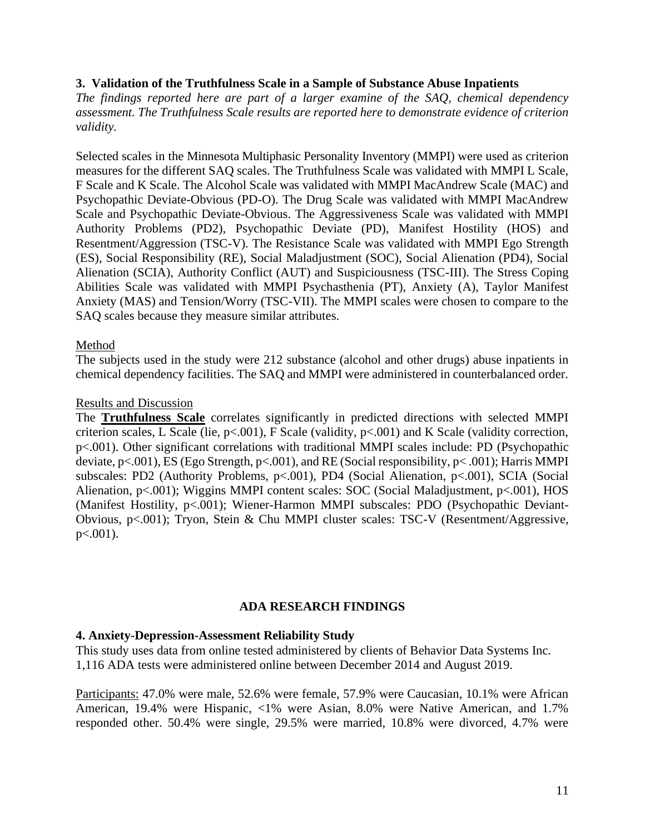#### **3. Validation of the Truthfulness Scale in a Sample of Substance Abuse Inpatients**

*The findings reported here are part of a larger examine of the SAQ, chemical dependency assessment. The Truthfulness Scale results are reported here to demonstrate evidence of criterion validity.*

Selected scales in the Minnesota Multiphasic Personality Inventory (MMPI) were used as criterion measures for the different SAQ scales. The Truthfulness Scale was validated with MMPI L Scale, F Scale and K Scale. The Alcohol Scale was validated with MMPI MacAndrew Scale (MAC) and Psychopathic Deviate-Obvious (PD-O). The Drug Scale was validated with MMPI MacAndrew Scale and Psychopathic Deviate-Obvious. The Aggressiveness Scale was validated with MMPI Authority Problems (PD2), Psychopathic Deviate (PD), Manifest Hostility (HOS) and Resentment/Aggression (TSC-V). The Resistance Scale was validated with MMPI Ego Strength (ES), Social Responsibility (RE), Social Maladjustment (SOC), Social Alienation (PD4), Social Alienation (SCIA), Authority Conflict (AUT) and Suspiciousness (TSC-III). The Stress Coping Abilities Scale was validated with MMPI Psychasthenia (PT), Anxiety (A), Taylor Manifest Anxiety (MAS) and Tension/Worry (TSC-VII). The MMPI scales were chosen to compare to the SAQ scales because they measure similar attributes.

#### Method

The subjects used in the study were 212 substance (alcohol and other drugs) abuse inpatients in chemical dependency facilities. The SAQ and MMPI were administered in counterbalanced order.

#### Results and Discussion

The **Truthfulness Scale** correlates significantly in predicted directions with selected MMPI criterion scales, L Scale (lie, p<.001), F Scale (validity, p<.001) and K Scale (validity correction, p<.001). Other significant correlations with traditional MMPI scales include: PD (Psychopathic deviate, p<.001), ES (Ego Strength, p<.001), and RE (Social responsibility, p< .001); Harris MMPI subscales: PD2 (Authority Problems, p<.001), PD4 (Social Alienation, p<.001), SCIA (Social Alienation, p<.001); Wiggins MMPI content scales: SOC (Social Maladjustment, p<.001), HOS (Manifest Hostility, p<.001); Wiener-Harmon MMPI subscales: PDO (Psychopathic Deviant-Obvious, p<.001); Tryon, Stein & Chu MMPI cluster scales: TSC-V (Resentment/Aggressive, p<.001).

#### **ADA RESEARCH FINDINGS**

#### **4. Anxiety-Depression-Assessment Reliability Study**

This study uses data from online tested administered by clients of Behavior Data Systems Inc. 1,116 ADA tests were administered online between December 2014 and August 2019.

Participants: 47.0% were male, 52.6% were female, 57.9% were Caucasian, 10.1% were African American, 19.4% were Hispanic, <1% were Asian, 8.0% were Native American, and 1.7% responded other. 50.4% were single, 29.5% were married, 10.8% were divorced, 4.7% were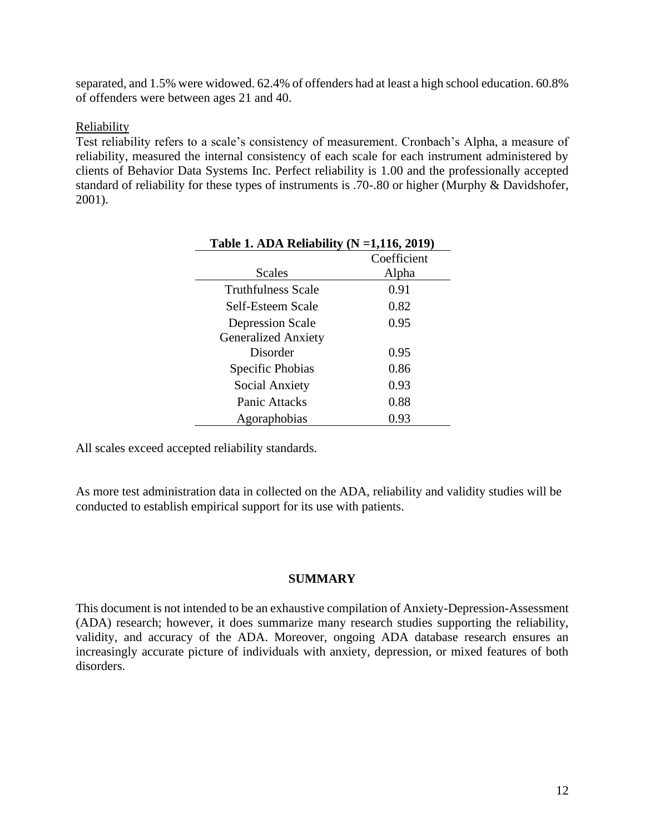separated, and 1.5% were widowed. 62.4% of offenders had at least a high school education. 60.8% of offenders were between ages 21 and 40.

#### Reliability

Test reliability refers to a scale's consistency of measurement. Cronbach's Alpha, a measure of reliability, measured the internal consistency of each scale for each instrument administered by clients of Behavior Data Systems Inc. Perfect reliability is 1.00 and the professionally accepted standard of reliability for these types of instruments is .70-.80 or higher (Murphy & Davidshofer, 2001).

| Table 1. ADA Reliability ( $N = 1,116,2019$ ) |             |  |
|-----------------------------------------------|-------------|--|
|                                               | Coefficient |  |
| <b>Scales</b>                                 | Alpha       |  |
| <b>Truthfulness Scale</b>                     | 0.91        |  |
| Self-Esteem Scale                             | 0.82        |  |
| <b>Depression Scale</b>                       | 0.95        |  |
| <b>Generalized Anxiety</b>                    |             |  |
| Disorder                                      | 0.95        |  |
| Specific Phobias                              | 0.86        |  |
| Social Anxiety                                | 0.93        |  |
| Panic Attacks                                 | 0.88        |  |
| Agoraphobias                                  | 0.93        |  |

All scales exceed accepted reliability standards.

As more test administration data in collected on the ADA, reliability and validity studies will be conducted to establish empirical support for its use with patients.

#### **SUMMARY**

This document is not intended to be an exhaustive compilation of Anxiety-Depression-Assessment (ADA) research; however, it does summarize many research studies supporting the reliability, validity, and accuracy of the ADA. Moreover, ongoing ADA database research ensures an increasingly accurate picture of individuals with anxiety, depression, or mixed features of both disorders.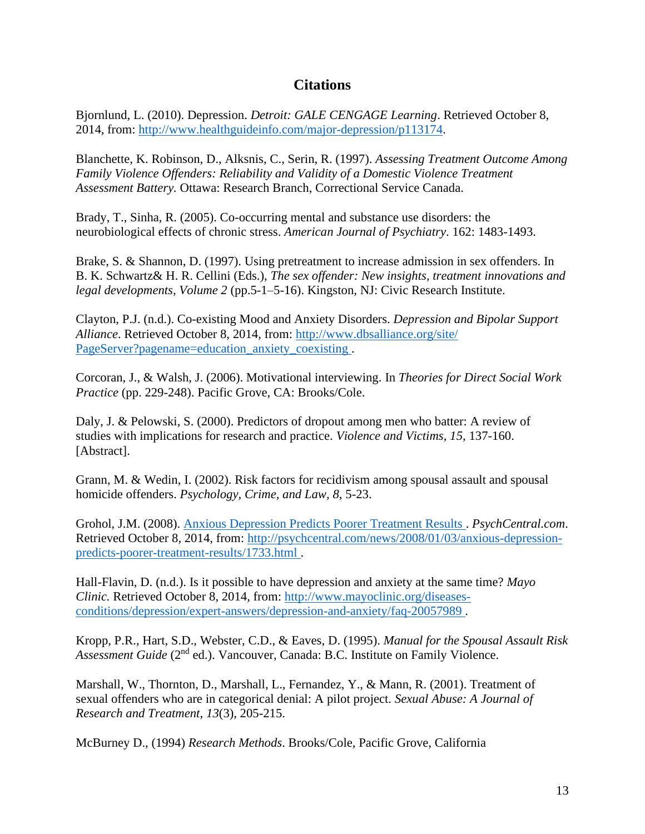### **Citations**

Bjornlund, L. (2010). Depression. *Detroit: GALE CENGAGE Learning*. Retrieved October 8, 2014, from: [http://www.healthguideinfo.com/major-depression/p113174.](http://www.healthguideinfo.com/major-depression/p113174)

Blanchette, K. Robinson, D., Alksnis, C., Serin, R. (1997). *Assessing Treatment Outcome Among Family Violence Offenders: Reliability and Validity of a Domestic Violence Treatment Assessment Battery.* Ottawa: Research Branch, Correctional Service Canada.

Brady, T., Sinha, R. (2005). Co-occurring mental and substance use disorders: the neurobiological effects of chronic stress. *American Journal of Psychiatry*. 162: 1483-1493.

Brake, S. & Shannon, D. (1997). Using pretreatment to increase admission in sex offenders. In B. K. Schwartz& H. R. Cellini (Eds.), *The sex offender: New insights, treatment innovations and legal developments, Volume 2* (pp.5-1–5-16). Kingston, NJ: Civic Research Institute.

Clayton, P.J. (n.d.). Co-existing Mood and Anxiety Disorders. *Depression and Bipolar Support Alliance*. Retrieved October 8, 2014, from: [http://www.dbsalliance.org/site/](http://www.dbsalliance.org/site/%20PageServer?pagename=education_anxiety_coexisting)  [PageServer?pagename=education\\_anxiety\\_coexisting .](http://www.dbsalliance.org/site/%20PageServer?pagename=education_anxiety_coexisting)

Corcoran, J., & Walsh, J. (2006). Motivational interviewing. In *Theories for Direct Social Work Practice* (pp. 229-248). Pacific Grove, CA: Brooks/Cole.

Daly, J. & Pelowski, S. (2000). Predictors of dropout among men who batter: A review of studies with implications for research and practice. *Violence and Victims, 15,* 137-160. [Abstract].

Grann, M. & Wedin, I. (2002). Risk factors for recidivism among spousal assault and spousal homicide offenders. *Psychology, Crime, and Law, 8,* 5-23.

Grohol, J.M. (2008). [Anxious Depression Predicts Poorer Treatment Results .](http://psychcentral.com/news/2008/01/03/anxious-depression-predicts-poorer-treatment-results/1733.html) *PsychCentral.com*. Retrieved October 8, 2014, from: [http://psychcentral.com/news/2008/01/03/anxious-depression](http://psychcentral.com/news/2008/01/03/anxious-depression-predicts-poorer-treatment-results/1733.html)[predicts-poorer-treatment-results/1733.html .](http://psychcentral.com/news/2008/01/03/anxious-depression-predicts-poorer-treatment-results/1733.html)

Hall-Flavin, D. (n.d.). Is it possible to have depression and anxiety at the same time? *Mayo Clinic.* Retrieved October 8, 2014, from: [http://www.mayoclinic.org/diseases](http://www.mayoclinic.org/diseases-conditions/depression/expert-answers/depression-and-anxiety/faq-20057989)[conditions/depression/expert-answers/depression-and-anxiety/faq-20057989 .](http://www.mayoclinic.org/diseases-conditions/depression/expert-answers/depression-and-anxiety/faq-20057989)

Kropp, P.R., Hart, S.D., Webster, C.D., & Eaves, D. (1995). *Manual for the Spousal Assault Risk*  Assessment Guide (2<sup>nd</sup> ed.). Vancouver, Canada: B.C. Institute on Family Violence.

Marshall, W., Thornton, D., Marshall, L., Fernandez, Y., & Mann, R. (2001). Treatment of sexual offenders who are in categorical denial: A pilot project. *Sexual Abuse: A Journal of Research and Treatment*, *13*(3), 205-215.

McBurney D., (1994) *Research Methods*. Brooks/Cole, Pacific Grove, California